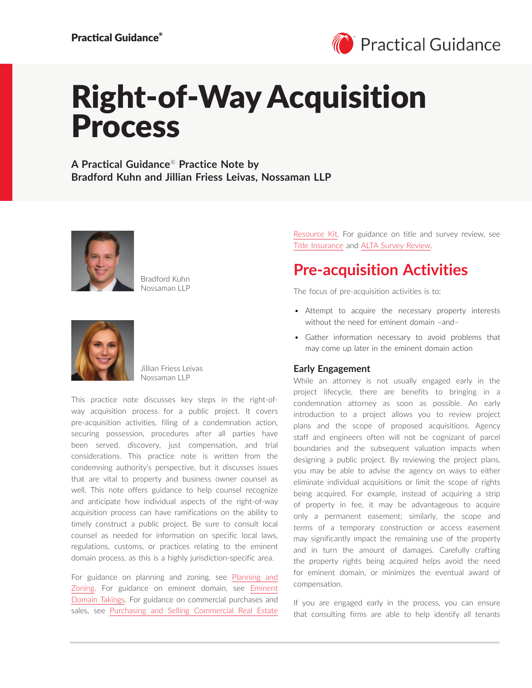

# Right-of-Way Acquisition Process

**A Practical Guidance**® **Practice Note by Bradford Kuhn and Jillian Friess Leivas, Nossaman LLP**



Bradford Kuhn Nossaman LLP



Jillian Friess Leivas Nossaman LLP

This practice note discusses key steps in the right-ofway acquisition process for a public project. It covers pre-acquisition activities, filing of a condemnation action, securing possession, procedures after all parties have been served, discovery, just compensation, and trial considerations. This practice note is written from the condemning authority's perspective, but it discusses issues that are vital to property and business owner counsel as well. This note offers guidance to help counsel recognize and anticipate how individual aspects of the right-of-way acquisition process can have ramifications on the ability to timely construct a public project. Be sure to consult local counsel as needed for information on specific local laws, regulations, customs, or practices relating to the eminent domain process, as this is a highly jurisdiction-specific area.

For guidance on planning and zoning, see [Planning and](https://advance.lexis.com/open/document/lpadocument/?pdmfid=1000522&pddocfullpath=%2Fshared%2Fdocument%2Fanalytical-materials%2Furn%3AcontentItem%3A5R4B-K6C1-F57G-S4BT-00000-00&pdcontentcomponentid=500749&pdteaserkey=sr0&pditab=allpods&ecomp=ztrg&earg=sr0)  [Zoning.](https://advance.lexis.com/open/document/lpadocument/?pdmfid=1000522&pddocfullpath=%2Fshared%2Fdocument%2Fanalytical-materials%2Furn%3AcontentItem%3A5R4B-K6C1-F57G-S4BT-00000-00&pdcontentcomponentid=500749&pdteaserkey=sr0&pditab=allpods&ecomp=ztrg&earg=sr0) For guidance on eminent domain, see [Eminent](https://advance.lexis.com/open/document/lpadocument/?pdmfid=1000522&pddocfullpath=%2Fshared%2Fdocument%2Fanalytical-materials%2Furn%3AcontentItem%3A5PSS-0MR1-JFKM-62Y7-00000-00&pdcontentcomponentid=500749&pdteaserkey=sr0&pditab=allpods&ecomp=ztrg&earg=sr0)  [Domain Takings.](https://advance.lexis.com/open/document/lpadocument/?pdmfid=1000522&pddocfullpath=%2Fshared%2Fdocument%2Fanalytical-materials%2Furn%3AcontentItem%3A5PSS-0MR1-JFKM-62Y7-00000-00&pdcontentcomponentid=500749&pdteaserkey=sr0&pditab=allpods&ecomp=ztrg&earg=sr0) For guidance on commercial purchases and sales, see [Purchasing and Selling Commercial Real Estate](https://advance.lexis.com/open/document/lpadocument/?pdmfid=1000522&pddocfullpath=%2Fshared%2Fdocument%2Fanalytical-materials%2Furn%3AcontentItem%3A5S3V-HGG1-DY89-M3W2-00000-00&pdcontentcomponentid=500749&pdteaserkey=sr0&pditab=allpods&ecomp=ztrg&earg=sr0)  [Resource Kit](https://advance.lexis.com/open/document/lpadocument/?pdmfid=1000522&pddocfullpath=%2Fshared%2Fdocument%2Fanalytical-materials%2Furn%3AcontentItem%3A5S3V-HGG1-DY89-M3W2-00000-00&pdcontentcomponentid=500749&pdteaserkey=sr0&pditab=allpods&ecomp=ztrg&earg=sr0). For guidance on title and survey review, see [Title Insurance](https://advance.lexis.com/open/document/lpadocument/?pdmfid=1000522&pddocfullpath=%2Fshared%2Fdocument%2Fanalytical-materials%2Furn%3AcontentItem%3A5G1X-X9B1-JWXF-20T3-00000-00&pdcontentcomponentid=500749&pdteaserkey=sr0&pditab=allpods&ecomp=ztrg&earg=sr0) and [ALTA Survey Review.](https://advance.lexis.com/open/document/lpadocument/?pdmfid=1000522&pddocfullpath=%2Fshared%2Fdocument%2Fanalytical-materials%2Furn%3AcontentItem%3A5NBW-3R31-FFMK-M3P2-00000-00&pdcontentcomponentid=500749&pdteaserkey=sr0&pditab=allpods&ecomp=ztrg&earg=sr0)

### **Pre-acquisition Activities**

The focus of pre-acquisition activities is to:

- Attempt to acquire the necessary property interests without the need for eminent domain –and–
- Gather information necessary to avoid problems that may come up later in the eminent domain action

### **Early Engagement**

While an attorney is not usually engaged early in the project lifecycle, there are benefits to bringing in a condemnation attorney as soon as possible. An early introduction to a project allows you to review project plans and the scope of proposed acquisitions. Agency staff and engineers often will not be cognizant of parcel boundaries and the subsequent valuation impacts when designing a public project. By reviewing the project plans, you may be able to advise the agency on ways to either eliminate individual acquisitions or limit the scope of rights being acquired. For example, instead of acquiring a strip of property in fee, it may be advantageous to acquire only a permanent easement; similarly, the scope and terms of a temporary construction or access easement may significantly impact the remaining use of the property and in turn the amount of damages. Carefully crafting the property rights being acquired helps avoid the need for eminent domain, or minimizes the eventual award of compensation.

If you are engaged early in the process, you can ensure that consulting firms are able to help identify all tenants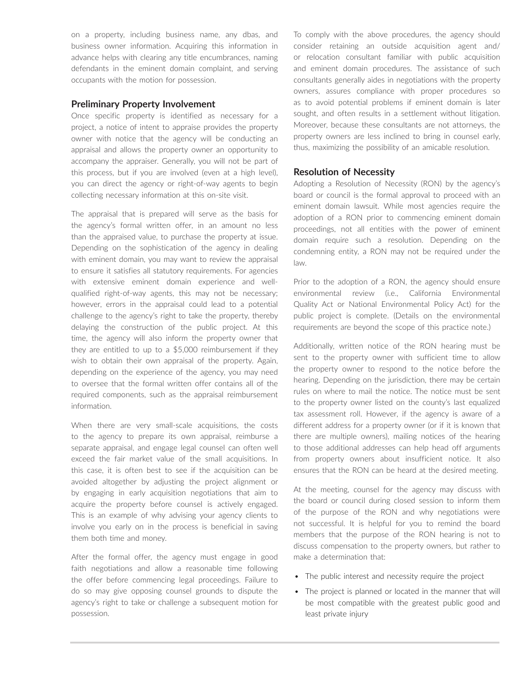on a property, including business name, any dbas, and business owner information. Acquiring this information in advance helps with clearing any title encumbrances, naming defendants in the eminent domain complaint, and serving occupants with the motion for possession.

### **Preliminary Property Involvement**

Once specific property is identified as necessary for a project, a notice of intent to appraise provides the property owner with notice that the agency will be conducting an appraisal and allows the property owner an opportunity to accompany the appraiser. Generally, you will not be part of this process, but if you are involved (even at a high level), you can direct the agency or right-of-way agents to begin collecting necessary information at this on-site visit.

The appraisal that is prepared will serve as the basis for the agency's formal written offer, in an amount no less than the appraised value, to purchase the property at issue. Depending on the sophistication of the agency in dealing with eminent domain, you may want to review the appraisal to ensure it satisfies all statutory requirements. For agencies with extensive eminent domain experience and wellqualified right-of-way agents, this may not be necessary; however, errors in the appraisal could lead to a potential challenge to the agency's right to take the property, thereby delaying the construction of the public project. At this time, the agency will also inform the property owner that they are entitled to up to a \$5,000 reimbursement if they wish to obtain their own appraisal of the property. Again, depending on the experience of the agency, you may need to oversee that the formal written offer contains all of the required components, such as the appraisal reimbursement information.

When there are very small-scale acquisitions, the costs to the agency to prepare its own appraisal, reimburse a separate appraisal, and engage legal counsel can often well exceed the fair market value of the small acquisitions. In this case, it is often best to see if the acquisition can be avoided altogether by adjusting the project alignment or by engaging in early acquisition negotiations that aim to acquire the property before counsel is actively engaged. This is an example of why advising your agency clients to involve you early on in the process is beneficial in saving them both time and money.

After the formal offer, the agency must engage in good faith negotiations and allow a reasonable time following the offer before commencing legal proceedings. Failure to do so may give opposing counsel grounds to dispute the agency's right to take or challenge a subsequent motion for possession.

To comply with the above procedures, the agency should consider retaining an outside acquisition agent and/ or relocation consultant familiar with public acquisition and eminent domain procedures. The assistance of such consultants generally aides in negotiations with the property owners, assures compliance with proper procedures so as to avoid potential problems if eminent domain is later sought, and often results in a settlement without litigation. Moreover, because these consultants are not attorneys, the property owners are less inclined to bring in counsel early, thus, maximizing the possibility of an amicable resolution.

### **Resolution of Necessity**

Adopting a Resolution of Necessity (RON) by the agency's board or council is the formal approval to proceed with an eminent domain lawsuit. While most agencies require the adoption of a RON prior to commencing eminent domain proceedings, not all entities with the power of eminent domain require such a resolution. Depending on the condemning entity, a RON may not be required under the law.

Prior to the adoption of a RON, the agency should ensure environmental review (i.e., California Environmental Quality Act or National Environmental Policy Act) for the public project is complete. (Details on the environmental requirements are beyond the scope of this practice note.)

Additionally, written notice of the RON hearing must be sent to the property owner with sufficient time to allow the property owner to respond to the notice before the hearing. Depending on the jurisdiction, there may be certain rules on where to mail the notice. The notice must be sent to the property owner listed on the county's last equalized tax assessment roll. However, if the agency is aware of a different address for a property owner (or if it is known that there are multiple owners), mailing notices of the hearing to those additional addresses can help head off arguments from property owners about insufficient notice. It also ensures that the RON can be heard at the desired meeting.

At the meeting, counsel for the agency may discuss with the board or council during closed session to inform them of the purpose of the RON and why negotiations were not successful. It is helpful for you to remind the board members that the purpose of the RON hearing is not to discuss compensation to the property owners, but rather to make a determination that:

- The public interest and necessity require the project
- The project is planned or located in the manner that will be most compatible with the greatest public good and least private injury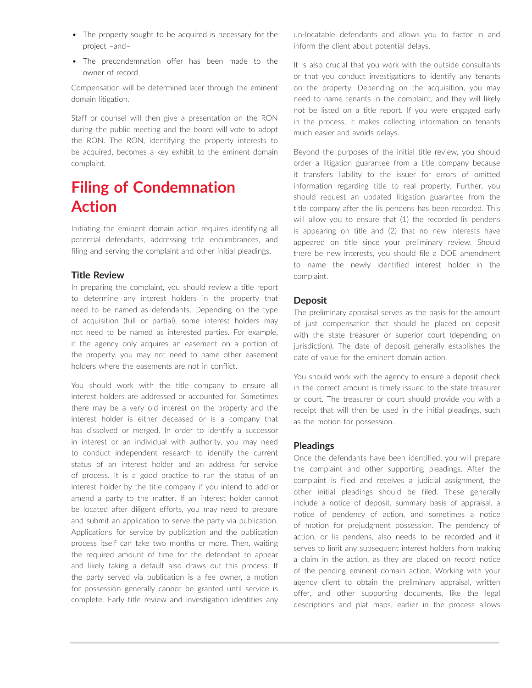- The property sought to be acquired is necessary for the project –and–
- The precondemnation offer has been made to the owner of record

Compensation will be determined later through the eminent domain litigation.

Staff or counsel will then give a presentation on the RON during the public meeting and the board will vote to adopt the RON. The RON, identifying the property interests to be acquired, becomes a key exhibit to the eminent domain complaint.

# **Filing of Condemnation Action**

Initiating the eminent domain action requires identifying all potential defendants, addressing title encumbrances, and filing and serving the complaint and other initial pleadings.

### **Title Review**

In preparing the complaint, you should review a title report to determine any interest holders in the property that need to be named as defendants. Depending on the type of acquisition (full or partial), some interest holders may not need to be named as interested parties. For example, if the agency only acquires an easement on a portion of the property, you may not need to name other easement holders where the easements are not in conflict.

You should work with the title company to ensure all interest holders are addressed or accounted for. Sometimes there may be a very old interest on the property and the interest holder is either deceased or is a company that has dissolved or merged. In order to identify a successor in interest or an individual with authority, you may need to conduct independent research to identify the current status of an interest holder and an address for service of process. It is a good practice to run the status of an interest holder by the title company if you intend to add or amend a party to the matter. If an interest holder cannot be located after diligent efforts, you may need to prepare and submit an application to serve the party via publication. Applications for service by publication and the publication process itself can take two months or more. Then, waiting the required amount of time for the defendant to appear and likely taking a default also draws out this process. If the party served via publication is a fee owner, a motion for possession generally cannot be granted until service is complete. Early title review and investigation identifies any un-locatable defendants and allows you to factor in and inform the client about potential delays.

It is also crucial that you work with the outside consultants or that you conduct investigations to identify any tenants on the property. Depending on the acquisition, you may need to name tenants in the complaint, and they will likely not be listed on a title report. If you were engaged early in the process, it makes collecting information on tenants much easier and avoids delays.

Beyond the purposes of the initial title review, you should order a litigation guarantee from a title company because it transfers liability to the issuer for errors of omitted information regarding title to real property. Further, you should request an updated litigation guarantee from the title company after the lis pendens has been recorded. This will allow you to ensure that (1) the recorded lis pendens is appearing on title and (2) that no new interests have appeared on title since your preliminary review. Should there be new interests, you should file a DOE amendment to name the newly identified interest holder in the complaint.

### **Deposit**

The preliminary appraisal serves as the basis for the amount of just compensation that should be placed on deposit with the state treasurer or superior court (depending on jurisdiction). The date of deposit generally establishes the date of value for the eminent domain action.

You should work with the agency to ensure a deposit check in the correct amount is timely issued to the state treasurer or court. The treasurer or court should provide you with a receipt that will then be used in the initial pleadings, such as the motion for possession.

### **Pleadings**

Once the defendants have been identified, you will prepare the complaint and other supporting pleadings. After the complaint is filed and receives a judicial assignment, the other initial pleadings should be filed. These generally include a notice of deposit, summary basis of appraisal, a notice of pendency of action, and sometimes a notice of motion for prejudgment possession. The pendency of action, or lis pendens, also needs to be recorded and it serves to limit any subsequent interest holders from making a claim in the action, as they are placed on record notice of the pending eminent domain action. Working with your agency client to obtain the preliminary appraisal, written offer, and other supporting documents, like the legal descriptions and plat maps, earlier in the process allows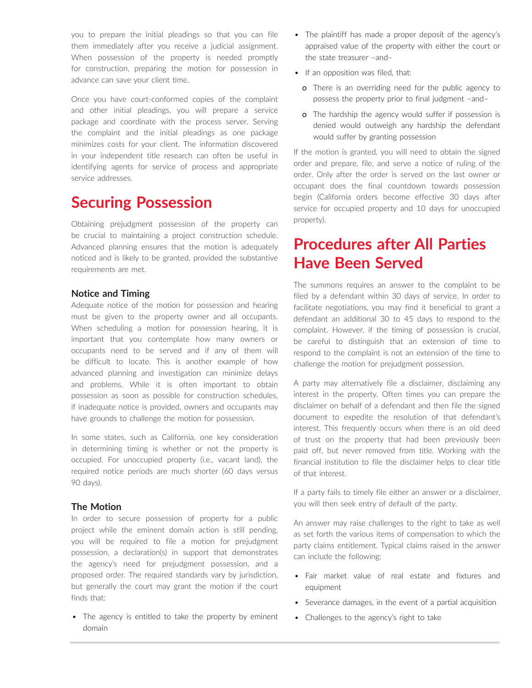you to prepare the initial pleadings so that you can file them immediately after you receive a judicial assignment. When possession of the property is needed promptly for construction, preparing the motion for possession in advance can save your client time.

Once you have court-conformed copies of the complaint and other initial pleadings, you will prepare a service package and coordinate with the process server. Serving the complaint and the initial pleadings as one package minimizes costs for your client. The information discovered in your independent title research can often be useful in identifying agents for service of process and appropriate service addresses.

### **Securing Possession**

Obtaining prejudgment possession of the property can be crucial to maintaining a project construction schedule. Advanced planning ensures that the motion is adequately noticed and is likely to be granted, provided the substantive requirements are met.

### **Notice and Timing**

Adequate notice of the motion for possession and hearing must be given to the property owner and all occupants. When scheduling a motion for possession hearing, it is important that you contemplate how many owners or occupants need to be served and if any of them will be difficult to locate. This is another example of how advanced planning and investigation can minimize delays and problems. While it is often important to obtain possession as soon as possible for construction schedules, if inadequate notice is provided, owners and occupants may have grounds to challenge the motion for possession.

In some states, such as California, one key consideration in determining timing is whether or not the property is occupied. For unoccupied property (i.e., vacant land), the required notice periods are much shorter (60 days versus 90 days).

### **The Motion**

In order to secure possession of property for a public project while the eminent domain action is still pending, you will be required to file a motion for prejudgment possession, a declaration(s) in support that demonstrates the agency's need for prejudgment possession, and a proposed order. The required standards vary by jurisdiction, but generally the court may grant the motion if the court finds that:

• The agency is entitled to take the property by eminent domain

- The plaintiff has made a proper deposit of the agency's appraised value of the property with either the court or the state treasurer –and–
- If an opposition was filed, that:
	- o There is an overriding need for the public agency to possess the property prior to final judgment –and–
	- o The hardship the agency would suffer if possession is denied would outweigh any hardship the defendant would suffer by granting possession

If the motion is granted, you will need to obtain the signed order and prepare, file, and serve a notice of ruling of the order. Only after the order is served on the last owner or occupant does the final countdown towards possession begin (California orders become effective 30 days after service for occupied property and 10 days for unoccupied property).

### **Procedures after All Parties Have Been Served**

The summons requires an answer to the complaint to be filed by a defendant within 30 days of service. In order to facilitate negotiations, you may find it beneficial to grant a defendant an additional 30 to 45 days to respond to the complaint. However, if the timing of possession is crucial, be careful to distinguish that an extension of time to respond to the complaint is not an extension of the time to challenge the motion for prejudgment possession.

A party may alternatively file a disclaimer, disclaiming any interest in the property. Often times you can prepare the disclaimer on behalf of a defendant and then file the signed document to expedite the resolution of that defendant's interest. This frequently occurs when there is an old deed of trust on the property that had been previously been paid off, but never removed from title. Working with the financial institution to file the disclaimer helps to clear title of that interest.

If a party fails to timely file either an answer or a disclaimer, you will then seek entry of default of the party.

An answer may raise challenges to the right to take as well as set forth the various items of compensation to which the party claims entitlement. Typical claims raised in the answer can include the following:

- Fair market value of real estate and fixtures and equipment
- Severance damages, in the event of a partial acquisition
- Challenges to the agency's right to take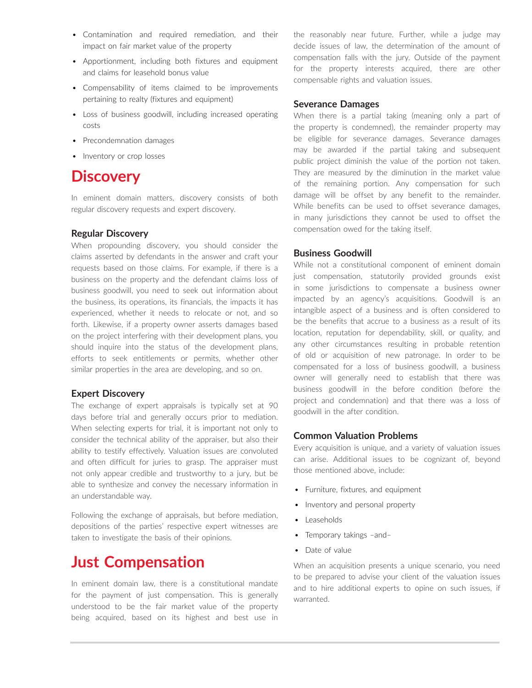- Contamination and required remediation, and their impact on fair market value of the property
- Apportionment, including both fixtures and equipment and claims for leasehold bonus value
- Compensability of items claimed to be improvements pertaining to realty (fixtures and equipment)
- Loss of business goodwill, including increased operating costs
- Precondemnation damages
- Inventory or crop losses

### **Discovery**

In eminent domain matters, discovery consists of both regular discovery requests and expert discovery.

### **Regular Discovery**

When propounding discovery, you should consider the claims asserted by defendants in the answer and craft your requests based on those claims. For example, if there is a business on the property and the defendant claims loss of business goodwill, you need to seek out information about the business, its operations, its financials, the impacts it has experienced, whether it needs to relocate or not, and so forth. Likewise, if a property owner asserts damages based on the project interfering with their development plans, you should inquire into the status of the development plans, efforts to seek entitlements or permits, whether other similar properties in the area are developing, and so on.

### **Expert Discovery**

The exchange of expert appraisals is typically set at 90 days before trial and generally occurs prior to mediation. When selecting experts for trial, it is important not only to consider the technical ability of the appraiser, but also their ability to testify effectively. Valuation issues are convoluted and often difficult for juries to grasp. The appraiser must not only appear credible and trustworthy to a jury, but be able to synthesize and convey the necessary information in an understandable way.

Following the exchange of appraisals, but before mediation, depositions of the parties' respective expert witnesses are taken to investigate the basis of their opinions.

### **Just Compensation**

In eminent domain law, there is a constitutional mandate for the payment of just compensation. This is generally understood to be the fair market value of the property being acquired, based on its highest and best use in the reasonably near future. Further, while a judge may decide issues of law, the determination of the amount of compensation falls with the jury. Outside of the payment for the property interests acquired, there are other compensable rights and valuation issues.

#### **Severance Damages**

When there is a partial taking (meaning only a part of the property is condemned), the remainder property may be eligible for severance damages. Severance damages may be awarded if the partial taking and subsequent public project diminish the value of the portion not taken. They are measured by the diminution in the market value of the remaining portion. Any compensation for such damage will be offset by any benefit to the remainder. While benefits can be used to offset severance damages, in many jurisdictions they cannot be used to offset the compensation owed for the taking itself.

### **Business Goodwill**

While not a constitutional component of eminent domain just compensation, statutorily provided grounds exist in some jurisdictions to compensate a business owner impacted by an agency's acquisitions. Goodwill is an intangible aspect of a business and is often considered to be the benefits that accrue to a business as a result of its location, reputation for dependability, skill, or quality, and any other circumstances resulting in probable retention of old or acquisition of new patronage. In order to be compensated for a loss of business goodwill, a business owner will generally need to establish that there was business goodwill in the before condition (before the project and condemnation) and that there was a loss of goodwill in the after condition.

### **Common Valuation Problems**

Every acquisition is unique, and a variety of valuation issues can arise. Additional issues to be cognizant of, beyond those mentioned above, include:

- Furniture, fixtures, and equipment
- Inventory and personal property
- Leaseholds
- Temporary takings –and–
- Date of value

When an acquisition presents a unique scenario, you need to be prepared to advise your client of the valuation issues and to hire additional experts to opine on such issues, if warranted.